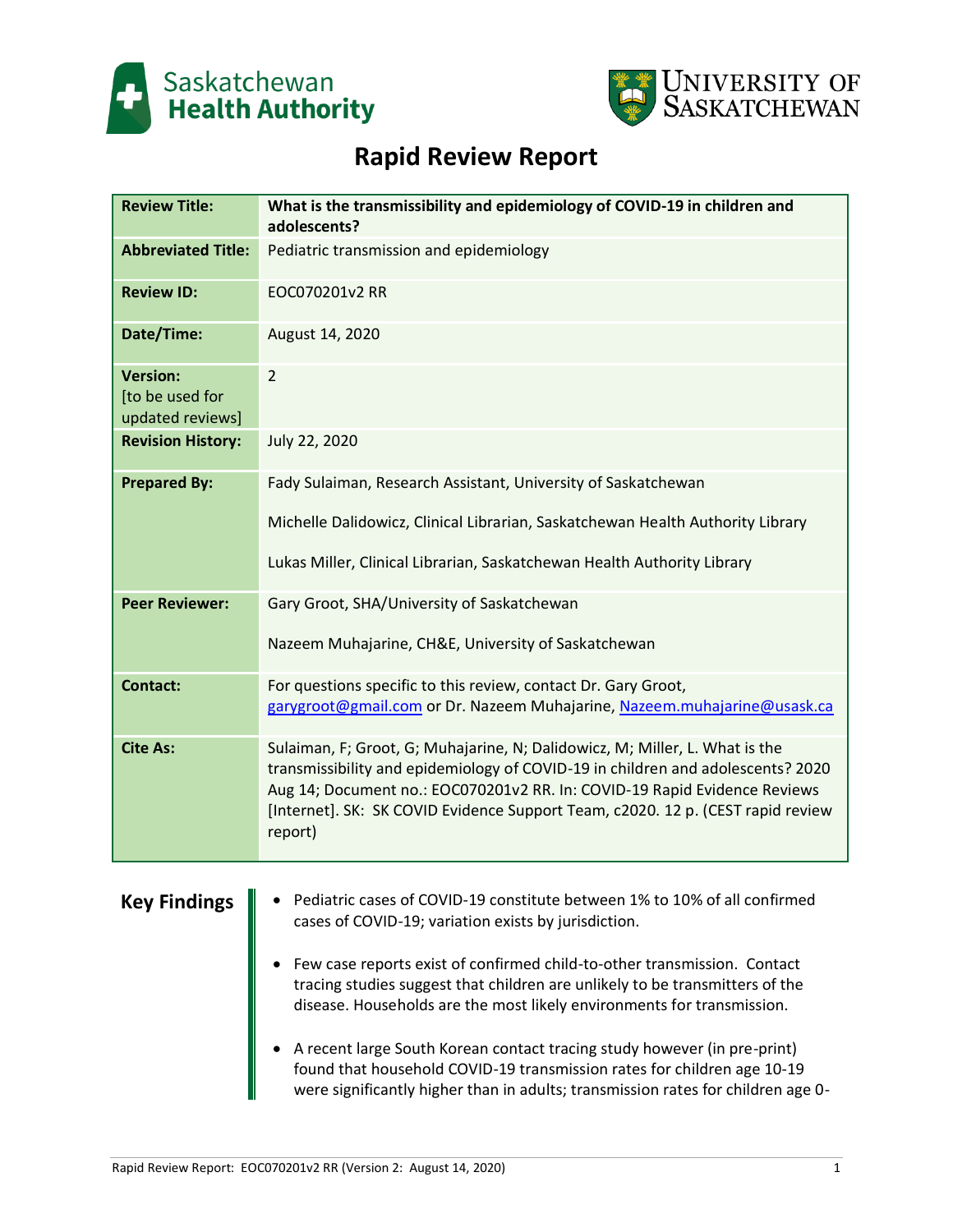



# **Rapid Review Report**

| <b>Review Title:</b>                                   | What is the transmissibility and epidemiology of COVID-19 in children and<br>adolescents?                                                                                                                                                                                                                                                 |
|--------------------------------------------------------|-------------------------------------------------------------------------------------------------------------------------------------------------------------------------------------------------------------------------------------------------------------------------------------------------------------------------------------------|
| <b>Abbreviated Title:</b>                              | Pediatric transmission and epidemiology                                                                                                                                                                                                                                                                                                   |
| <b>Review ID:</b>                                      | EOC070201v2 RR                                                                                                                                                                                                                                                                                                                            |
| Date/Time:                                             | August 14, 2020                                                                                                                                                                                                                                                                                                                           |
| <b>Version:</b><br>[to be used for<br>updated reviews] | $\overline{2}$                                                                                                                                                                                                                                                                                                                            |
| <b>Revision History:</b>                               | July 22, 2020                                                                                                                                                                                                                                                                                                                             |
| <b>Prepared By:</b>                                    | Fady Sulaiman, Research Assistant, University of Saskatchewan                                                                                                                                                                                                                                                                             |
|                                                        | Michelle Dalidowicz, Clinical Librarian, Saskatchewan Health Authority Library                                                                                                                                                                                                                                                            |
|                                                        | Lukas Miller, Clinical Librarian, Saskatchewan Health Authority Library                                                                                                                                                                                                                                                                   |
| <b>Peer Reviewer:</b>                                  | Gary Groot, SHA/University of Saskatchewan                                                                                                                                                                                                                                                                                                |
|                                                        | Nazeem Muhajarine, CH&E, University of Saskatchewan                                                                                                                                                                                                                                                                                       |
| <b>Contact:</b>                                        | For questions specific to this review, contact Dr. Gary Groot,<br>garygroot@gmail.com or Dr. Nazeem Muhajarine, Nazeem.muhajarine@usask.ca                                                                                                                                                                                                |
| <b>Cite As:</b>                                        | Sulaiman, F; Groot, G; Muhajarine, N; Dalidowicz, M; Miller, L. What is the<br>transmissibility and epidemiology of COVID-19 in children and adolescents? 2020<br>Aug 14; Document no.: EOC070201v2 RR. In: COVID-19 Rapid Evidence Reviews<br>[Internet]. SK: SK COVID Evidence Support Team, c2020. 12 p. (CEST rapid review<br>report) |
| <b>Key Findings</b>                                    | Pediatric cases of COVID-19 constitute between 1% to 10% of all confirmed<br>cases of COVID-19; variation exists by jurisdiction.                                                                                                                                                                                                         |

- Few case reports exist of confirmed child-to-other transmission. Contact tracing studies suggest that children are unlikely to be transmitters of the disease. Households are the most likely environments for transmission.
- A recent large South Korean contact tracing study however (in pre-print) found that household COVID-19 transmission rates for children age 10-19 were significantly higher than in adults; transmission rates for children age 0-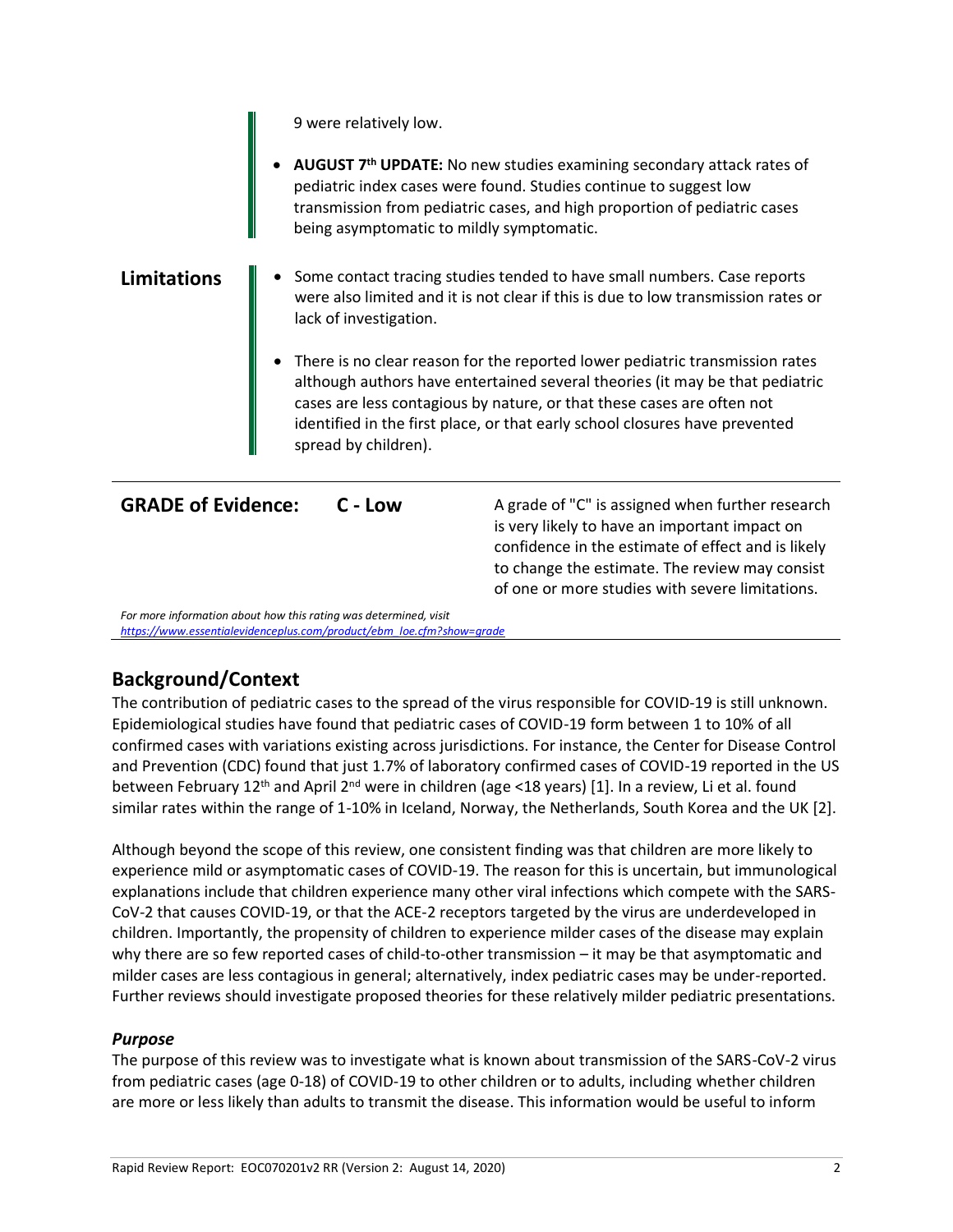9 were relatively low.

• **AUGUST 7th UPDATE:** No new studies examining secondary attack rates of pediatric index cases were found. Studies continue to suggest low transmission from pediatric cases, and high proportion of pediatric cases being asymptomatic to mildly symptomatic.

### **Limitations**  $\|\cdot\|$  **•** Some contact tracing studies tended to have small numbers. Case reports were also limited and it is not clear if this is due to low transmission rates or lack of investigation.

• There is no clear reason for the reported lower pediatric transmission rates although authors have entertained several theories (it may be that pediatric cases are less contagious by nature, or that these cases are often not identified in the first place, or that early school closures have prevented spread by children).

**GRADE** of **Evidence:** C - Low A grade of "C" is assigned when further research is very likely to have an important impact on confidence in the estimate of effect and is likely to change the estimate. The review may consist of one or more studies with severe limitations.

*For more information about how this rating was determined, visit [https://www.essentialevidenceplus.com/product/ebm\\_loe.cfm?show=grade](https://www.essentialevidenceplus.com/product/ebm_loe.cfm?show=grade)*

## **Background/Context**

The contribution of pediatric cases to the spread of the virus responsible for COVID-19 is still unknown. Epidemiological studies have found that pediatric cases of COVID-19 form between 1 to 10% of all confirmed cases with variations existing across jurisdictions. For instance, the Center for Disease Control and Prevention (CDC) found that just 1.7% of laboratory confirmed cases of COVID-19 reported in the US between February 12<sup>th</sup> and April 2<sup>nd</sup> were in children (age <18 years) [1]. In a review, Li et al. found similar rates within the range of 1-10% in Iceland, Norway, the Netherlands, South Korea and the UK [2].

Although beyond the scope of this review, one consistent finding was that children are more likely to experience mild or asymptomatic cases of COVID-19. The reason for this is uncertain, but immunological explanations include that children experience many other viral infections which compete with the SARS-CoV-2 that causes COVID-19, or that the ACE-2 receptors targeted by the virus are underdeveloped in children. Importantly, the propensity of children to experience milder cases of the disease may explain why there are so few reported cases of child-to-other transmission – it may be that asymptomatic and milder cases are less contagious in general; alternatively, index pediatric cases may be under-reported. Further reviews should investigate proposed theories for these relatively milder pediatric presentations.

### *Purpose*

The purpose of this review was to investigate what is known about transmission of the SARS-CoV-2 virus from pediatric cases (age 0-18) of COVID-19 to other children or to adults, including whether children are more or less likely than adults to transmit the disease. This information would be useful to inform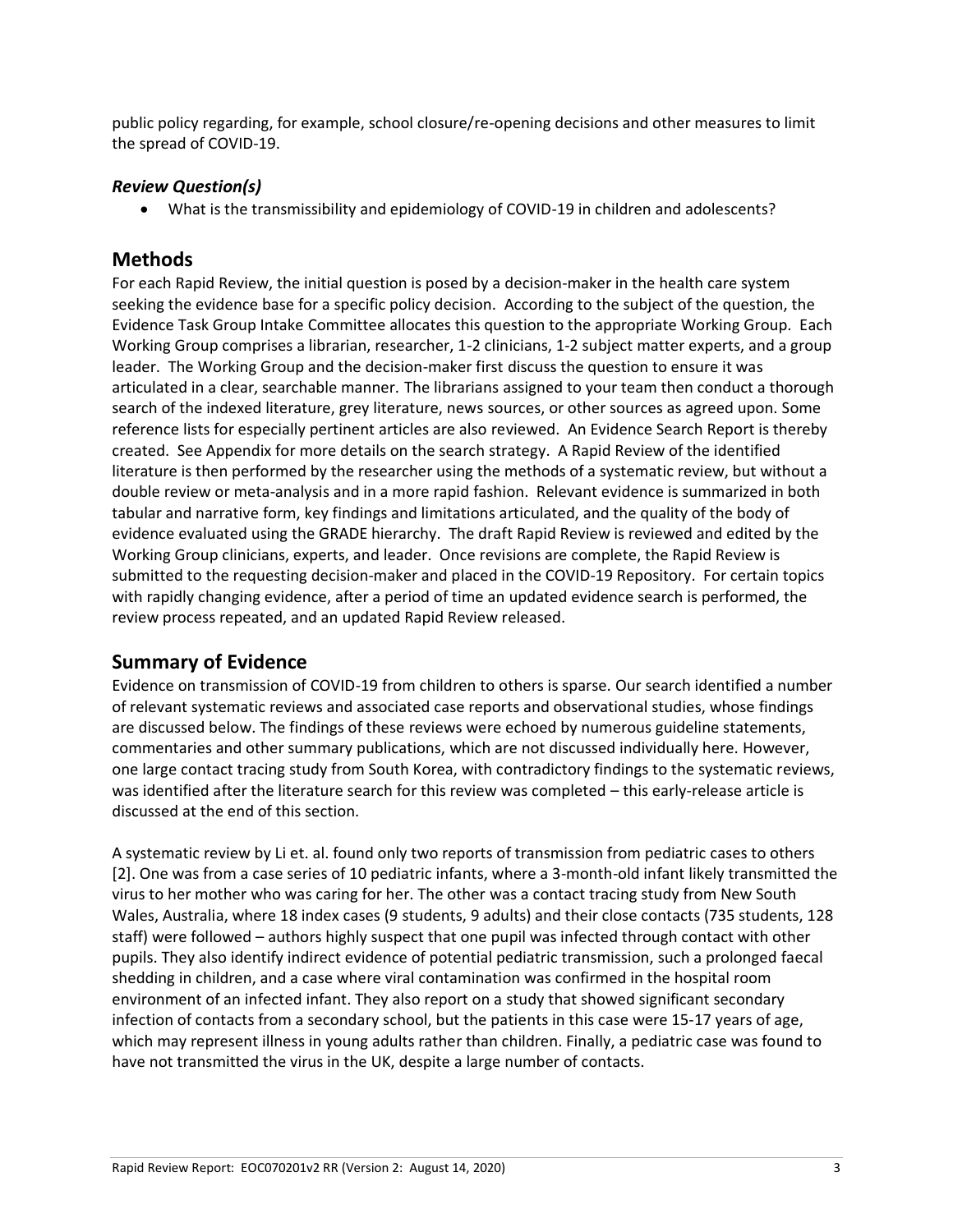public policy regarding, for example, school closure/re-opening decisions and other measures to limit the spread of COVID-19.

### *Review Question(s)*

• What is the transmissibility and epidemiology of COVID-19 in children and adolescents?

## **Methods**

For each Rapid Review, the initial question is posed by a decision-maker in the health care system seeking the evidence base for a specific policy decision. According to the subject of the question, the Evidence Task Group Intake Committee allocates this question to the appropriate Working Group. Each Working Group comprises a librarian, researcher, 1-2 clinicians, 1-2 subject matter experts, and a group leader. The Working Group and the decision-maker first discuss the question to ensure it was articulated in a clear, searchable manner. The librarians assigned to your team then conduct a thorough search of the indexed literature, grey literature, news sources, or other sources as agreed upon. Some reference lists for especially pertinent articles are also reviewed. An Evidence Search Report is thereby created. See Appendix for more details on the search strategy. A Rapid Review of the identified literature is then performed by the researcher using the methods of a systematic review, but without a double review or meta-analysis and in a more rapid fashion. Relevant evidence is summarized in both tabular and narrative form, key findings and limitations articulated, and the quality of the body of evidence evaluated using the GRADE hierarchy. The draft Rapid Review is reviewed and edited by the Working Group clinicians, experts, and leader. Once revisions are complete, the Rapid Review is submitted to the requesting decision-maker and placed in the COVID-19 Repository. For certain topics with rapidly changing evidence, after a period of time an updated evidence search is performed, the review process repeated, and an updated Rapid Review released.

## **Summary of Evidence**

Evidence on transmission of COVID-19 from children to others is sparse. Our search identified a number of relevant systematic reviews and associated case reports and observational studies, whose findings are discussed below. The findings of these reviews were echoed by numerous guideline statements, commentaries and other summary publications, which are not discussed individually here. However, one large contact tracing study from South Korea, with contradictory findings to the systematic reviews, was identified after the literature search for this review was completed – this early-release article is discussed at the end of this section.

A systematic review by Li et. al. found only two reports of transmission from pediatric cases to others [2]. One was from a case series of 10 pediatric infants, where a 3-month-old infant likely transmitted the virus to her mother who was caring for her. The other was a contact tracing study from New South Wales, Australia, where 18 index cases (9 students, 9 adults) and their close contacts (735 students, 128 staff) were followed – authors highly suspect that one pupil was infected through contact with other pupils. They also identify indirect evidence of potential pediatric transmission, such a prolonged faecal shedding in children, and a case where viral contamination was confirmed in the hospital room environment of an infected infant. They also report on a study that showed significant secondary infection of contacts from a secondary school, but the patients in this case were 15-17 years of age, which may represent illness in young adults rather than children. Finally, a pediatric case was found to have not transmitted the virus in the UK, despite a large number of contacts.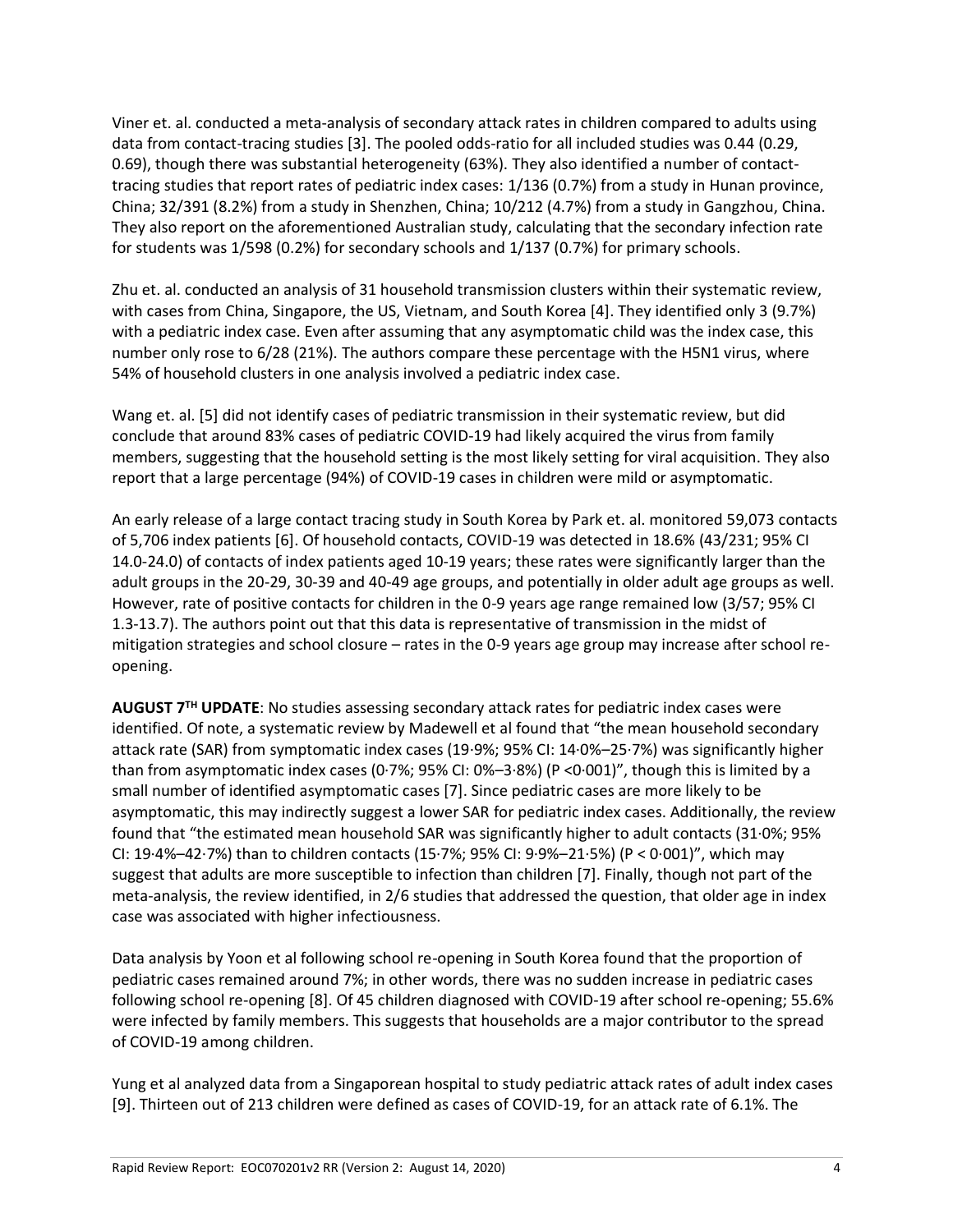Viner et. al. conducted a meta-analysis of secondary attack rates in children compared to adults using data from contact-tracing studies [3]. The pooled odds-ratio for all included studies was 0.44 (0.29, 0.69), though there was substantial heterogeneity (63%). They also identified a number of contacttracing studies that report rates of pediatric index cases: 1/136 (0.7%) from a study in Hunan province, China; 32/391 (8.2%) from a study in Shenzhen, China; 10/212 (4.7%) from a study in Gangzhou, China. They also report on the aforementioned Australian study, calculating that the secondary infection rate for students was 1/598 (0.2%) for secondary schools and 1/137 (0.7%) for primary schools.

Zhu et. al. conducted an analysis of 31 household transmission clusters within their systematic review, with cases from China, Singapore, the US, Vietnam, and South Korea [4]. They identified only 3 (9.7%) with a pediatric index case. Even after assuming that any asymptomatic child was the index case, this number only rose to 6/28 (21%). The authors compare these percentage with the H5N1 virus, where 54% of household clusters in one analysis involved a pediatric index case.

Wang et. al. [5] did not identify cases of pediatric transmission in their systematic review, but did conclude that around 83% cases of pediatric COVID-19 had likely acquired the virus from family members, suggesting that the household setting is the most likely setting for viral acquisition. They also report that a large percentage (94%) of COVID-19 cases in children were mild or asymptomatic.

An early release of a large contact tracing study in South Korea by Park et. al. monitored 59,073 contacts of 5,706 index patients [6]. Of household contacts, COVID-19 was detected in 18.6% (43/231; 95% CI 14.0-24.0) of contacts of index patients aged 10-19 years; these rates were significantly larger than the adult groups in the 20-29, 30-39 and 40-49 age groups, and potentially in older adult age groups as well. However, rate of positive contacts for children in the 0-9 years age range remained low (3/57; 95% CI 1.3-13.7). The authors point out that this data is representative of transmission in the midst of mitigation strategies and school closure – rates in the 0-9 years age group may increase after school reopening.

**AUGUST 7TH UPDATE**: No studies assessing secondary attack rates for pediatric index cases were identified. Of note, a systematic review by Madewell et al found that "the mean household secondary attack rate (SAR) from symptomatic index cases (19·9%; 95% CI: 14·0%–25·7%) was significantly higher than from asymptomatic index cases (0·7%; 95% CI: 0%–3·8%) (P <0·001)", though this is limited by a small number of identified asymptomatic cases [7]. Since pediatric cases are more likely to be asymptomatic, this may indirectly suggest a lower SAR for pediatric index cases. Additionally, the review found that "the estimated mean household SAR was significantly higher to adult contacts (31·0%; 95% CI: 19·4%–42·7%) than to children contacts (15·7%; 95% CI: 9·9%–21·5%) (P < 0·001)", which may suggest that adults are more susceptible to infection than children [7]. Finally, though not part of the meta-analysis, the review identified, in 2/6 studies that addressed the question, that older age in index case was associated with higher infectiousness.

Data analysis by Yoon et al following school re-opening in South Korea found that the proportion of pediatric cases remained around 7%; in other words, there was no sudden increase in pediatric cases following school re-opening [8]. Of 45 children diagnosed with COVID-19 after school re-opening; 55.6% were infected by family members. This suggests that households are a major contributor to the spread of COVID-19 among children.

Yung et al analyzed data from a Singaporean hospital to study pediatric attack rates of adult index cases [9]. Thirteen out of 213 children were defined as cases of COVID-19, for an attack rate of 6.1%. The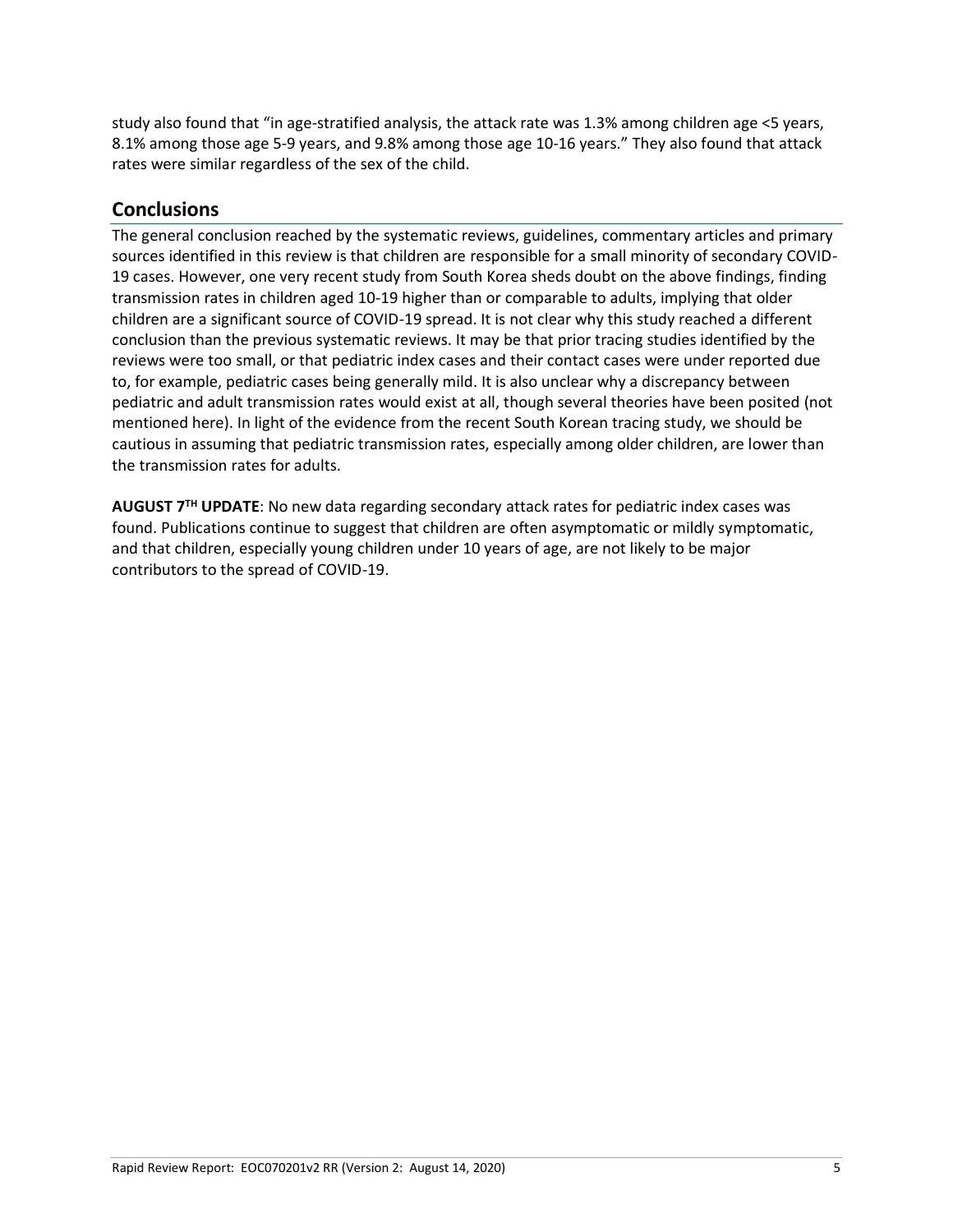study also found that "in age-stratified analysis, the attack rate was 1.3% among children age <5 years, 8.1% among those age 5-9 years, and 9.8% among those age 10-16 years." They also found that attack rates were similar regardless of the sex of the child.

### **Conclusions**

The general conclusion reached by the systematic reviews, guidelines, commentary articles and primary sources identified in this review is that children are responsible for a small minority of secondary COVID-19 cases. However, one very recent study from South Korea sheds doubt on the above findings, finding transmission rates in children aged 10-19 higher than or comparable to adults, implying that older children are a significant source of COVID-19 spread. It is not clear why this study reached a different conclusion than the previous systematic reviews. It may be that prior tracing studies identified by the reviews were too small, or that pediatric index cases and their contact cases were under reported due to, for example, pediatric cases being generally mild. It is also unclear why a discrepancy between pediatric and adult transmission rates would exist at all, though several theories have been posited (not mentioned here). In light of the evidence from the recent South Korean tracing study, we should be cautious in assuming that pediatric transmission rates, especially among older children, are lower than the transmission rates for adults.

**AUGUST 7TH UPDATE**: No new data regarding secondary attack rates for pediatric index cases was found. Publications continue to suggest that children are often asymptomatic or mildly symptomatic, and that children, especially young children under 10 years of age, are not likely to be major contributors to the spread of COVID-19.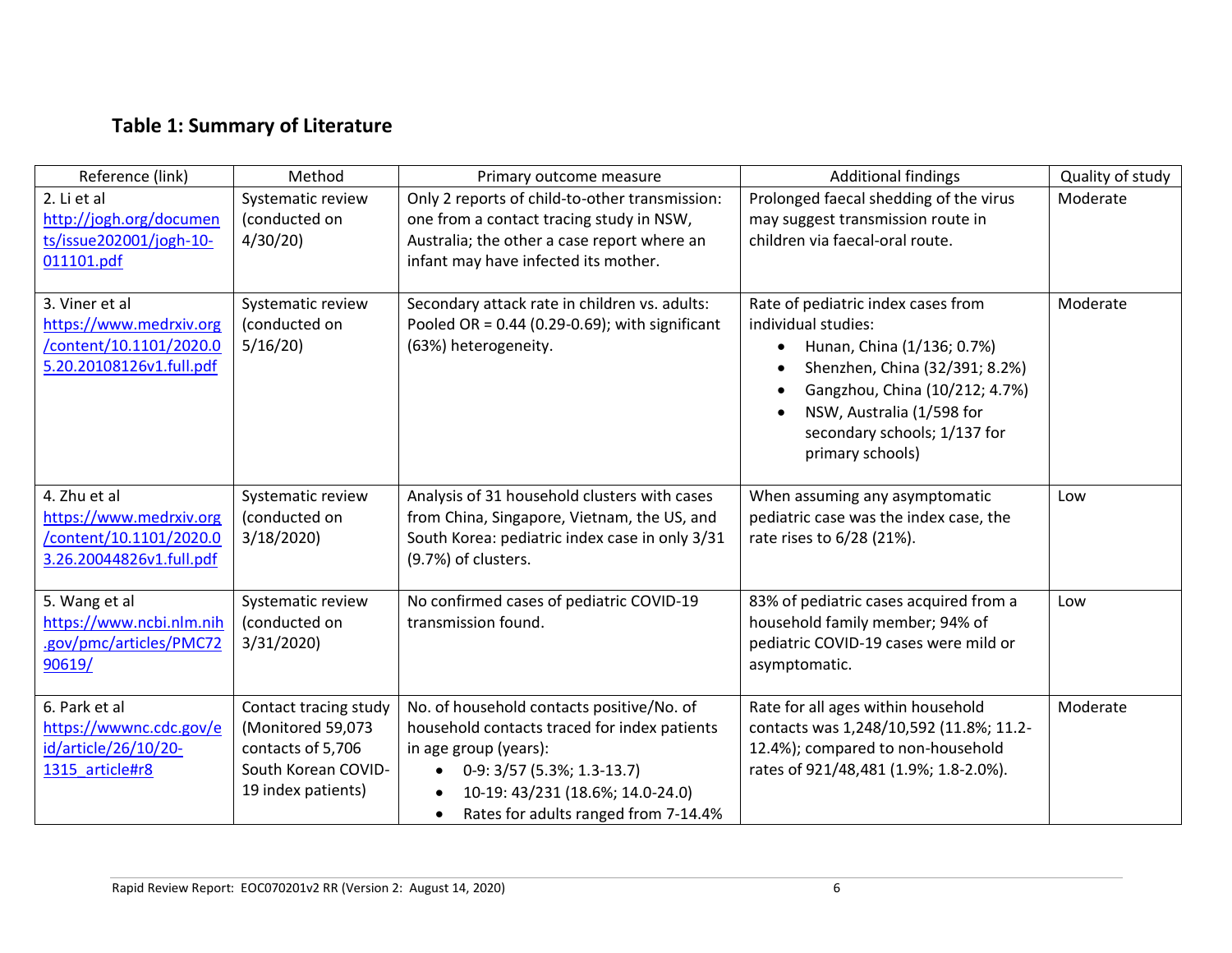# **Table 1: Summary of Literature**

| Reference (link)                                                                                 | Method                                                                                                       | Primary outcome measure                                                                                                                                                                                                                                | <b>Additional findings</b>                                                                                                                                                                                                                                                                       | Quality of study |
|--------------------------------------------------------------------------------------------------|--------------------------------------------------------------------------------------------------------------|--------------------------------------------------------------------------------------------------------------------------------------------------------------------------------------------------------------------------------------------------------|--------------------------------------------------------------------------------------------------------------------------------------------------------------------------------------------------------------------------------------------------------------------------------------------------|------------------|
| 2. Li et al<br>http://jogh.org/documen<br>ts/issue202001/jogh-10-<br>011101.pdf                  | Systematic review<br>(conducted on<br>4/30/20                                                                | Only 2 reports of child-to-other transmission:<br>one from a contact tracing study in NSW,<br>Australia; the other a case report where an<br>infant may have infected its mother.                                                                      | Prolonged faecal shedding of the virus<br>may suggest transmission route in<br>children via faecal-oral route.                                                                                                                                                                                   | Moderate         |
| 3. Viner et al<br>https://www.medrxiv.org<br>/content/10.1101/2020.0<br>5.20.20108126v1.full.pdf | Systematic review<br>(conducted on<br>5/16/20                                                                | Secondary attack rate in children vs. adults:<br>Pooled OR = $0.44$ (0.29-0.69); with significant<br>(63%) heterogeneity.                                                                                                                              | Rate of pediatric index cases from<br>individual studies:<br>Hunan, China (1/136; 0.7%)<br>$\bullet$<br>Shenzhen, China (32/391; 8.2%)<br>$\bullet$<br>Gangzhou, China (10/212; 4.7%)<br>$\bullet$<br>NSW, Australia (1/598 for<br>$\bullet$<br>secondary schools; 1/137 for<br>primary schools) | Moderate         |
| 4. Zhu et al<br>https://www.medrxiv.org<br>/content/10.1101/2020.0<br>3.26.20044826v1.full.pdf   | Systematic review<br>(conducted on<br>3/18/2020                                                              | Analysis of 31 household clusters with cases<br>from China, Singapore, Vietnam, the US, and<br>South Korea: pediatric index case in only 3/31<br>(9.7%) of clusters.                                                                                   | When assuming any asymptomatic<br>pediatric case was the index case, the<br>rate rises to 6/28 (21%).                                                                                                                                                                                            | Low              |
| 5. Wang et al<br>https://www.ncbi.nlm.nih<br>.gov/pmc/articles/PMC72<br>90619/                   | Systematic review<br>(conducted on<br>3/31/2020)                                                             | No confirmed cases of pediatric COVID-19<br>transmission found.                                                                                                                                                                                        | 83% of pediatric cases acquired from a<br>household family member; 94% of<br>pediatric COVID-19 cases were mild or<br>asymptomatic.                                                                                                                                                              | Low              |
| 6. Park et al<br>https://wwwnc.cdc.gov/e<br>id/article/26/10/20-<br>1315 article#r8              | Contact tracing study<br>(Monitored 59,073<br>contacts of 5,706<br>South Korean COVID-<br>19 index patients) | No. of household contacts positive/No. of<br>household contacts traced for index patients<br>in age group (years):<br>0-9: 3/57 (5.3%; 1.3-13.7)<br>$\bullet$<br>10-19: 43/231 (18.6%; 14.0-24.0)<br>Rates for adults ranged from 7-14.4%<br>$\bullet$ | Rate for all ages within household<br>contacts was 1,248/10,592 (11.8%; 11.2-<br>12.4%); compared to non-household<br>rates of 921/48,481 (1.9%; 1.8-2.0%).                                                                                                                                      | Moderate         |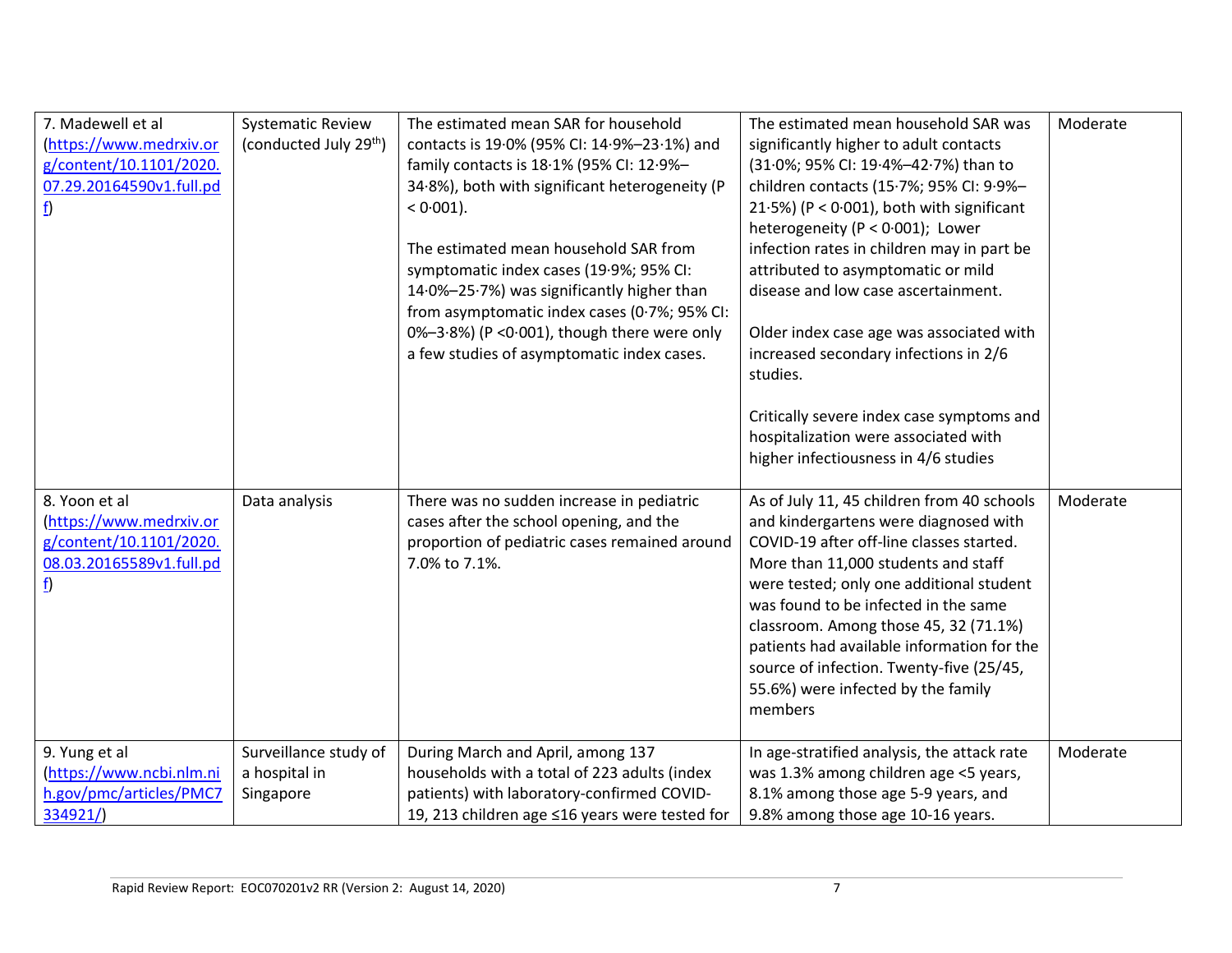| 7. Madewell et al<br>(https://www.medrxiv.or<br>g/content/10.1101/2020.<br>07.29.20164590v1.full.pd<br>$\underline{\mathbf{f}}$ | <b>Systematic Review</b><br>(conducted July 29 <sup>th</sup> ) | The estimated mean SAR for household<br>contacts is 19.0% (95% CI: 14.9%-23.1%) and<br>family contacts is 18.1% (95% CI: 12.9%-<br>34.8%), both with significant heterogeneity (P<br>$< 0.001$ ).<br>The estimated mean household SAR from | The estimated mean household SAR was<br>significantly higher to adult contacts<br>(31.0%; 95% CI: 19.4%-42.7%) than to<br>children contacts (15.7%; 95% CI: 9.9%-<br>21.5%) ( $P < 0.001$ ), both with significant<br>heterogeneity (P < 0.001); Lower<br>infection rates in children may in part be                                                                                                                                           | Moderate |
|---------------------------------------------------------------------------------------------------------------------------------|----------------------------------------------------------------|--------------------------------------------------------------------------------------------------------------------------------------------------------------------------------------------------------------------------------------------|------------------------------------------------------------------------------------------------------------------------------------------------------------------------------------------------------------------------------------------------------------------------------------------------------------------------------------------------------------------------------------------------------------------------------------------------|----------|
|                                                                                                                                 |                                                                | symptomatic index cases (19.9%; 95% CI:<br>14.0%-25.7%) was significantly higher than<br>from asymptomatic index cases (0.7%; 95% CI:<br>0%-3.8%) (P < 0.001), though there were only<br>a few studies of asymptomatic index cases.        | attributed to asymptomatic or mild<br>disease and low case ascertainment.<br>Older index case age was associated with<br>increased secondary infections in 2/6<br>studies.                                                                                                                                                                                                                                                                     |          |
|                                                                                                                                 |                                                                |                                                                                                                                                                                                                                            | Critically severe index case symptoms and<br>hospitalization were associated with<br>higher infectiousness in 4/6 studies                                                                                                                                                                                                                                                                                                                      |          |
| 8. Yoon et al<br>(https://www.medrxiv.or<br>g/content/10.1101/2020.<br>08.03.20165589v1.full.pd<br><u>f</u> )                   | Data analysis                                                  | There was no sudden increase in pediatric<br>cases after the school opening, and the<br>proportion of pediatric cases remained around<br>7.0% to 7.1%.                                                                                     | As of July 11, 45 children from 40 schools<br>and kindergartens were diagnosed with<br>COVID-19 after off-line classes started.<br>More than 11,000 students and staff<br>were tested; only one additional student<br>was found to be infected in the same<br>classroom. Among those 45, 32 (71.1%)<br>patients had available information for the<br>source of infection. Twenty-five (25/45,<br>55.6%) were infected by the family<br>members | Moderate |
| 9. Yung et al<br>(https://www.ncbi.nlm.ni<br>h.gov/pmc/articles/PMC7<br>334921/                                                 | Surveillance study of<br>a hospital in<br>Singapore            | During March and April, among 137<br>households with a total of 223 adults (index<br>patients) with laboratory-confirmed COVID-<br>19, 213 children age ≤16 years were tested for                                                          | In age-stratified analysis, the attack rate<br>was 1.3% among children age <5 years,<br>8.1% among those age 5-9 years, and<br>9.8% among those age 10-16 years.                                                                                                                                                                                                                                                                               | Moderate |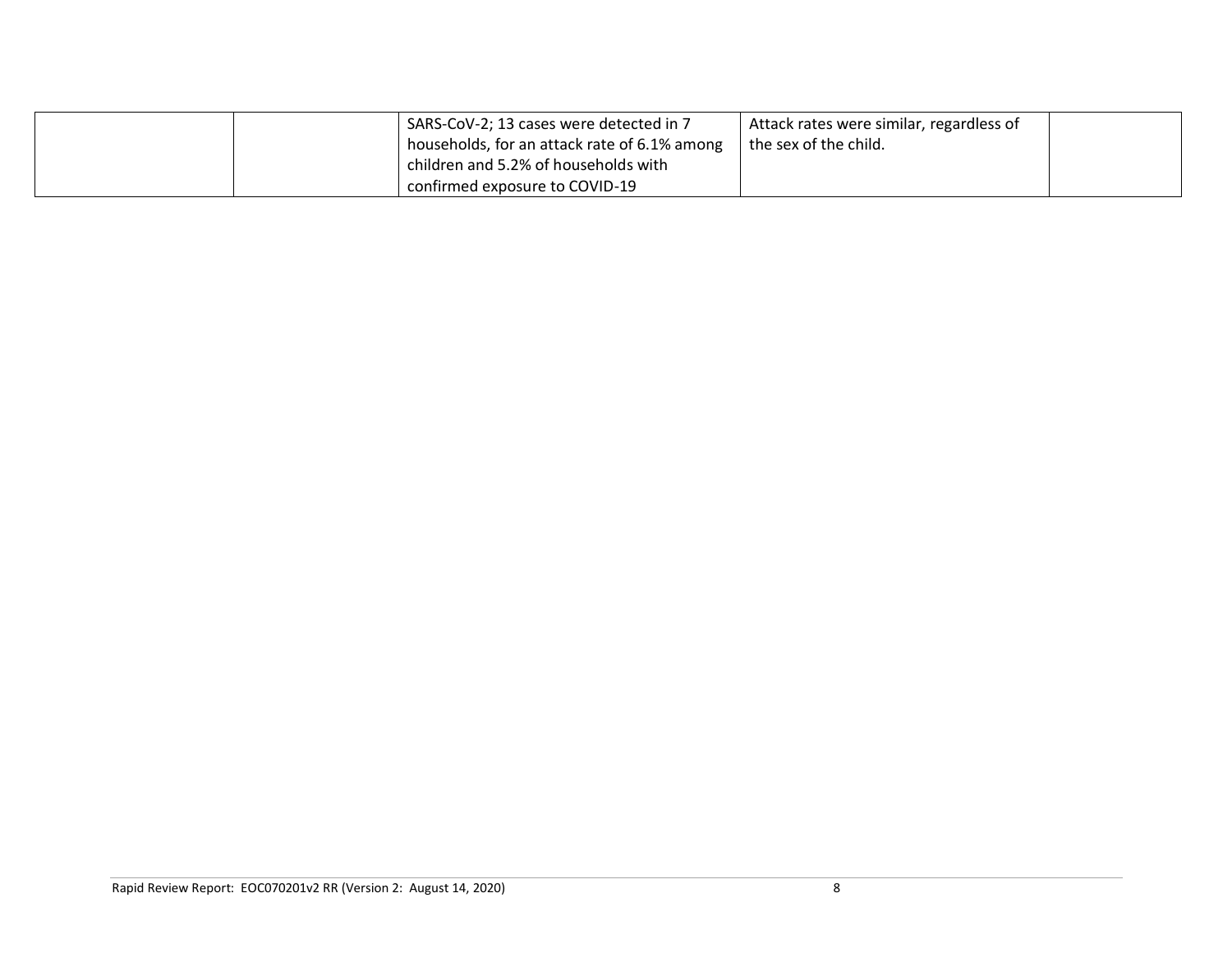|  | I SARS-CoV-2; 13 cases were detected in 7    | Attack rates were similar, regardless of |  |
|--|----------------------------------------------|------------------------------------------|--|
|  | households, for an attack rate of 6.1% among | the sex of the child.                    |  |
|  | children and 5.2% of households with         |                                          |  |
|  | confirmed exposure to COVID-19               |                                          |  |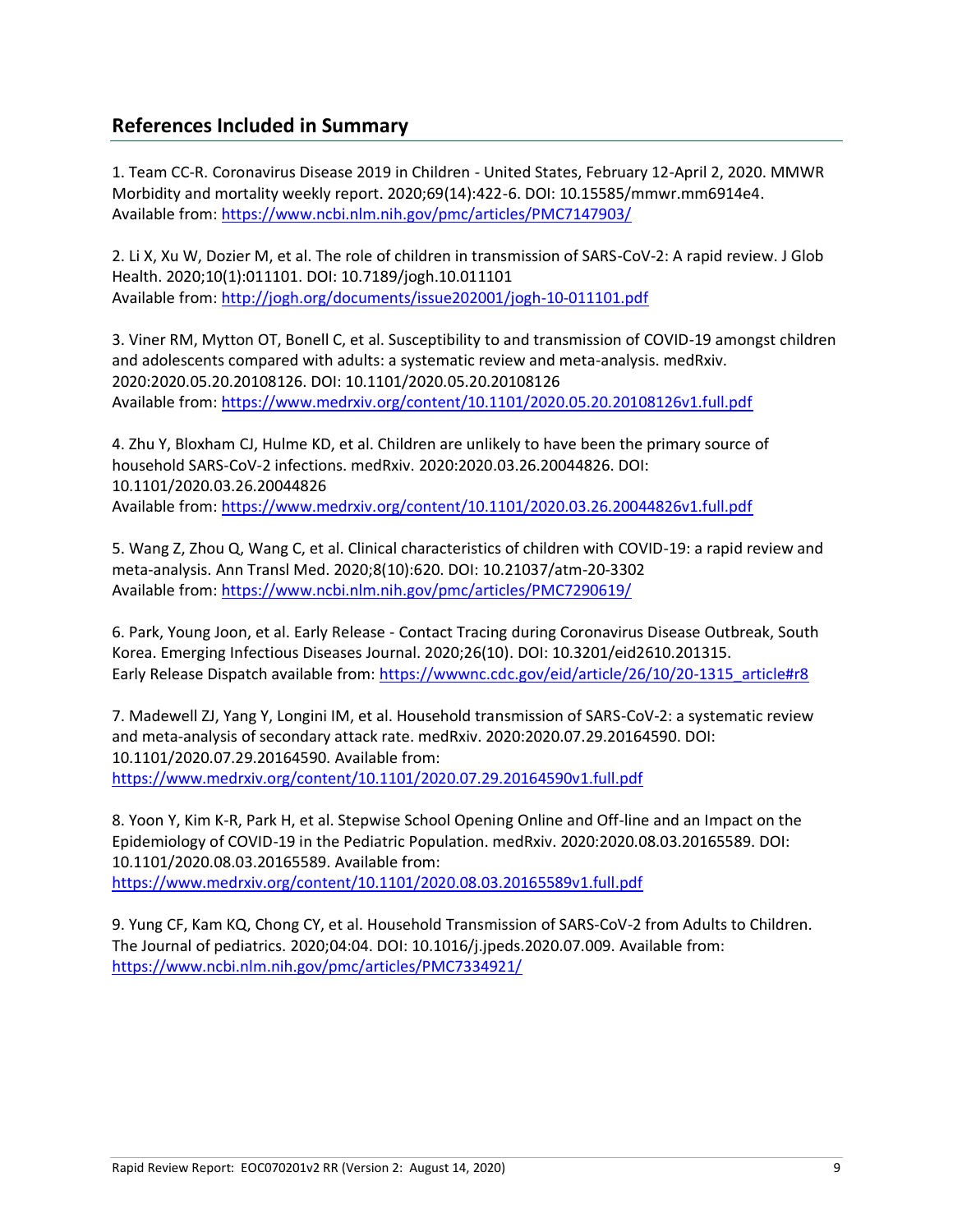## **References Included in Summary**

1. Team CC-R. Coronavirus Disease 2019 in Children - United States, February 12-April 2, 2020. MMWR Morbidity and mortality weekly report. 2020;69(14):422-6. DOI: 10.15585/mmwr.mm6914e4. Available from:<https://www.ncbi.nlm.nih.gov/pmc/articles/PMC7147903/>

2. Li X, Xu W, Dozier M, et al. The role of children in transmission of SARS-CoV-2: A rapid review. J Glob Health. 2020;10(1):011101. DOI: 10.7189/jogh.10.011101 Available from:<http://jogh.org/documents/issue202001/jogh-10-011101.pdf>

3. Viner RM, Mytton OT, Bonell C, et al. Susceptibility to and transmission of COVID-19 amongst children and adolescents compared with adults: a systematic review and meta-analysis. medRxiv. 2020:2020.05.20.20108126. DOI: 10.1101/2020.05.20.20108126 [Available from: https://www.medrxiv.org/content/10.1101/2020.05.20.20108126v1.full.pdf](https://www.medrxiv.org/content/10.1101/2020.05.20.20108126v1.full.pdf)

4. Zhu Y, Bloxham CJ, Hulme KD, et al. Children are unlikely to have been the primary source of household SARS-CoV-2 infections. medRxiv. 2020:2020.03.26.20044826. DOI: 10.1101/2020.03.26.20044826 Available from:<https://www.medrxiv.org/content/10.1101/2020.03.26.20044826v1.full.pdf>

5. Wang Z, Zhou Q, Wang C, et al. Clinical characteristics of children with COVID-19: a rapid review and meta-analysis. Ann Transl Med. 2020;8(10):620. DOI: 10.21037/atm-20-3302 Available from:<https://www.ncbi.nlm.nih.gov/pmc/articles/PMC7290619/>

6. Park, Young Joon, et al. Early Release - Contact Tracing during Coronavirus Disease Outbreak, South Korea. Emerging Infectious Diseases Journal. 2020;26(10). DOI: 10.3201/eid2610.201315. Early Release Dispatch available from: [https://wwwnc.cdc.gov/eid/article/26/10/20-1315\\_article#r8](https://wwwnc.cdc.gov/eid/article/26/10/20-1315_article)

7. Madewell ZJ, Yang Y, Longini IM, et al. Household transmission of SARS-CoV-2: a systematic review and meta-analysis of secondary attack rate. medRxiv. 2020:2020.07.29.20164590. DOI: 10.1101/2020.07.29.20164590. Available from: <https://www.medrxiv.org/content/10.1101/2020.07.29.20164590v1.full.pdf>

8. Yoon Y, Kim K-R, Park H, et al. Stepwise School Opening Online and Off-line and an Impact on the Epidemiology of COVID-19 in the Pediatric Population. medRxiv. 2020:2020.08.03.20165589. DOI: 10.1101/2020.08.03.20165589. Available from: <https://www.medrxiv.org/content/10.1101/2020.08.03.20165589v1.full.pdf>

9. Yung CF, Kam KQ, Chong CY, et al. Household Transmission of SARS-CoV-2 from Adults to Children. The Journal of pediatrics. 2020;04:04. DOI: 10.1016/j.jpeds.2020.07.009. Available from: <https://www.ncbi.nlm.nih.gov/pmc/articles/PMC7334921/>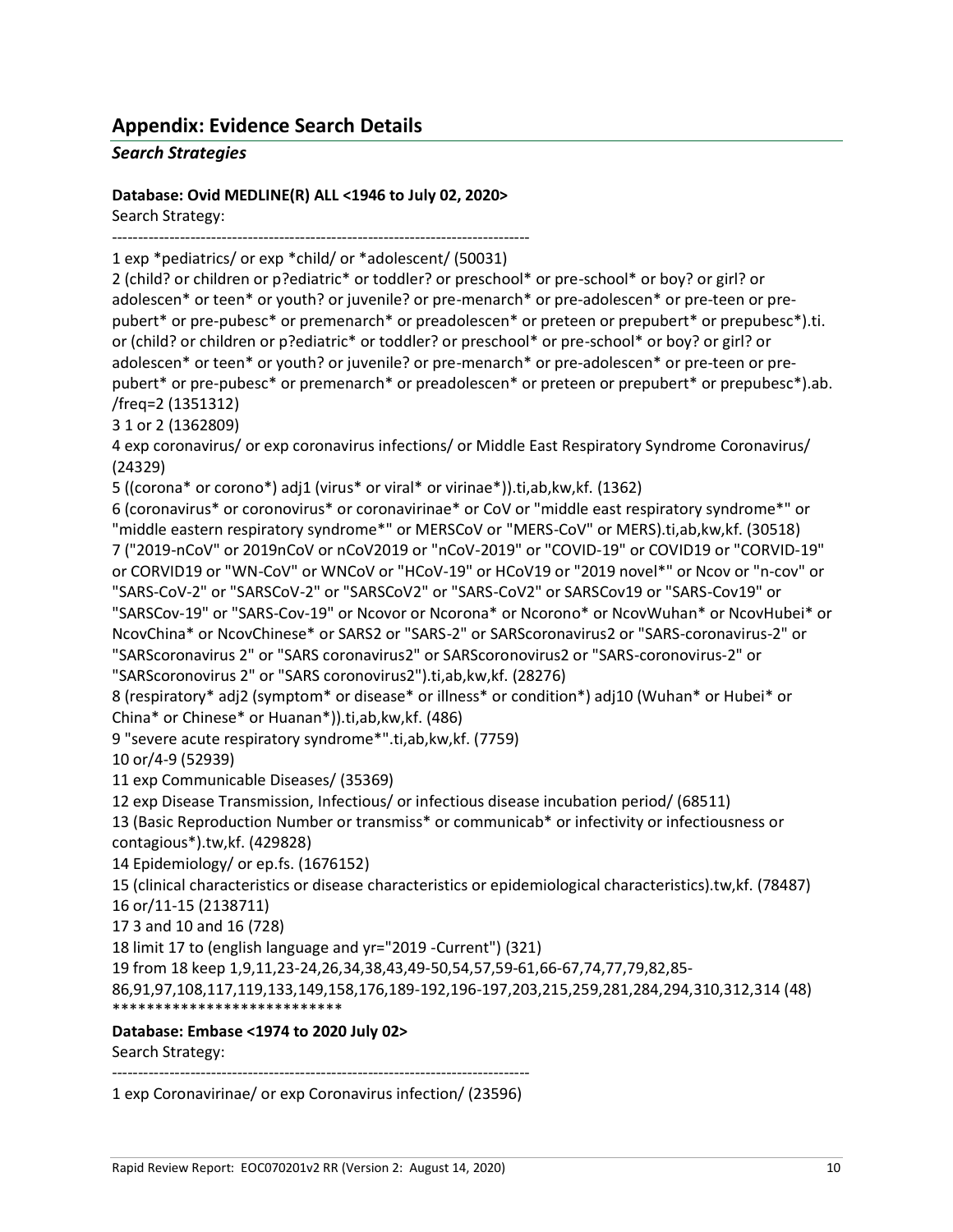## **Appendix: Evidence Search Details**

### *Search Strategies*

**Database: Ovid MEDLINE(R) ALL <1946 to July 02, 2020>**

Search Strategy:

--------------------------------------------------------------------------------

1 exp \*pediatrics/ or exp \*child/ or \*adolescent/ (50031)

2 (child? or children or p?ediatric\* or toddler? or preschool\* or pre-school\* or boy? or girl? or adolescen\* or teen\* or youth? or juvenile? or pre-menarch\* or pre-adolescen\* or pre-teen or prepubert\* or pre-pubesc\* or premenarch\* or preadolescen\* or preteen or prepubert\* or prepubesc\*).ti. or (child? or children or p?ediatric\* or toddler? or preschool\* or pre-school\* or boy? or girl? or adolescen\* or teen\* or youth? or juvenile? or pre-menarch\* or pre-adolescen\* or pre-teen or prepubert\* or pre-pubesc\* or premenarch\* or preadolescen\* or preteen or prepubert\* or prepubesc\*).ab. /freq=2 (1351312)

3 1 or 2 (1362809)

4 exp coronavirus/ or exp coronavirus infections/ or Middle East Respiratory Syndrome Coronavirus/ (24329)

5 ((corona\* or corono\*) adj1 (virus\* or viral\* or virinae\*)).ti,ab,kw,kf. (1362)

6 (coronavirus\* or coronovirus\* or coronavirinae\* or CoV or "middle east respiratory syndrome\*" or "middle eastern respiratory syndrome\*" or MERSCoV or "MERS-CoV" or MERS).ti,ab,kw,kf. (30518) 7 ("2019-nCoV" or 2019nCoV or nCoV2019 or "nCoV-2019" or "COVID-19" or COVID19 or "CORVID-19" or CORVID19 or "WN-CoV" or WNCoV or "HCoV-19" or HCoV19 or "2019 novel\*" or Ncov or "n-cov" or "SARS-CoV-2" or "SARSCoV-2" or "SARSCoV2" or "SARS-CoV2" or SARSCov19 or "SARS-Cov19" or "SARSCov-19" or "SARS-Cov-19" or Ncovor or Ncorona\* or Ncorono\* or NcovWuhan\* or NcovHubei\* or NcovChina\* or NcovChinese\* or SARS2 or "SARS-2" or SARScoronavirus2 or "SARS-coronavirus-2" or "SARScoronavirus 2" or "SARS coronavirus2" or SARScoronovirus2 or "SARS-coronovirus-2" or "SARScoronovirus 2" or "SARS coronovirus2").ti,ab,kw,kf. (28276)

8 (respiratory\* adj2 (symptom\* or disease\* or illness\* or condition\*) adj10 (Wuhan\* or Hubei\* or China\* or Chinese\* or Huanan\*)).ti,ab,kw,kf. (486)

9 "severe acute respiratory syndrome\*".ti,ab,kw,kf. (7759)

10 or/4-9 (52939)

11 exp Communicable Diseases/ (35369)

12 exp Disease Transmission, Infectious/ or infectious disease incubation period/ (68511)

13 (Basic Reproduction Number or transmiss\* or communicab\* or infectivity or infectiousness or contagious\*).tw,kf. (429828)

14 Epidemiology/ or ep.fs. (1676152)

15 (clinical characteristics or disease characteristics or epidemiological characteristics).tw,kf. (78487) 16 or/11-15 (2138711)

17 3 and 10 and 16 (728)

18 limit 17 to (english language and yr="2019 -Current") (321)

19 from 18 keep 1,9,11,23-24,26,34,38,43,49-50,54,57,59-61,66-67,74,77,79,82,85-

86,91,97,108,117,119,133,149,158,176,189-192,196-197,203,215,259,281,284,294,310,312,314 (48) \*\*\*\*\*\*\*\*\*\*\*\*\*\*\*\*\*\*\*\*\*\*\*\*\*\*\*

**Database: Embase <1974 to 2020 July 02>**

Search Strategy:

--------------------------------------------------------------------------------

1 exp Coronavirinae/ or exp Coronavirus infection/ (23596)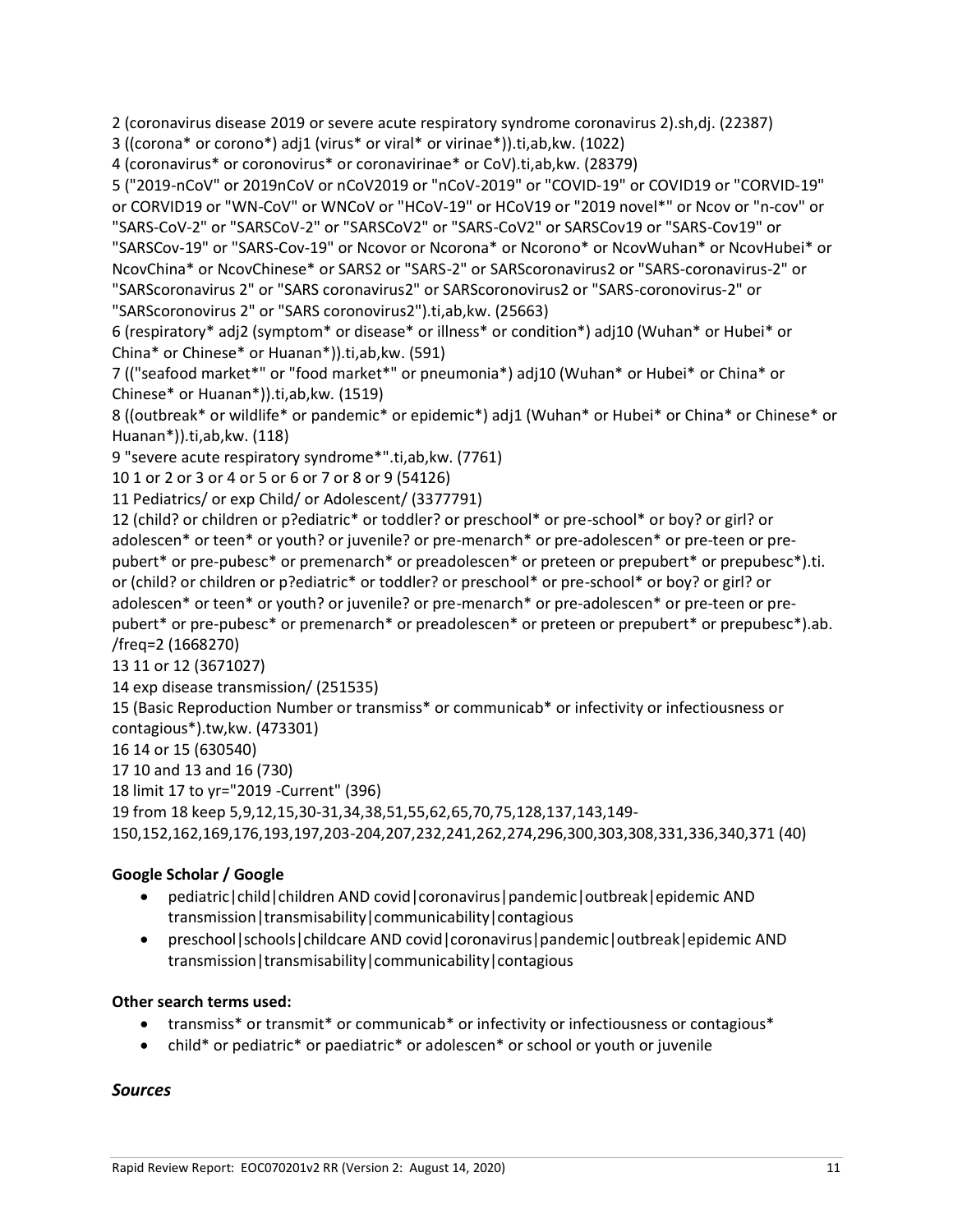2 (coronavirus disease 2019 or severe acute respiratory syndrome coronavirus 2).sh,dj. (22387)

3 ((corona\* or corono\*) adj1 (virus\* or viral\* or virinae\*)).ti,ab,kw. (1022)

4 (coronavirus\* or coronovirus\* or coronavirinae\* or CoV).ti,ab,kw. (28379)

5 ("2019-nCoV" or 2019nCoV or nCoV2019 or "nCoV-2019" or "COVID-19" or COVID19 or "CORVID-19" or CORVID19 or "WN-CoV" or WNCoV or "HCoV-19" or HCoV19 or "2019 novel\*" or Ncov or "n-cov" or "SARS-CoV-2" or "SARSCoV-2" or "SARSCoV2" or "SARS-CoV2" or SARSCov19 or "SARS-Cov19" or "SARSCov-19" or "SARS-Cov-19" or Ncovor or Ncorona\* or Ncorono\* or NcovWuhan\* or NcovHubei\* or NcovChina\* or NcovChinese\* or SARS2 or "SARS-2" or SARScoronavirus2 or "SARS-coronavirus-2" or "SARScoronavirus 2" or "SARS coronavirus2" or SARScoronovirus2 or "SARS-coronovirus-2" or

"SARScoronovirus 2" or "SARS coronovirus2").ti,ab,kw. (25663)

6 (respiratory\* adj2 (symptom\* or disease\* or illness\* or condition\*) adj10 (Wuhan\* or Hubei\* or China\* or Chinese\* or Huanan\*)).ti,ab,kw. (591)

7 (("seafood market\*" or "food market\*" or pneumonia\*) adj10 (Wuhan\* or Hubei\* or China\* or Chinese\* or Huanan\*)).ti,ab,kw. (1519)

8 ((outbreak\* or wildlife\* or pandemic\* or epidemic\*) adj1 (Wuhan\* or Hubei\* or China\* or Chinese\* or Huanan\*)).ti,ab,kw. (118)

9 "severe acute respiratory syndrome\*".ti,ab,kw. (7761)

10 1 or 2 or 3 or 4 or 5 or 6 or 7 or 8 or 9 (54126)

11 Pediatrics/ or exp Child/ or Adolescent/ (3377791)

12 (child? or children or p?ediatric\* or toddler? or preschool\* or pre-school\* or boy? or girl? or adolescen\* or teen\* or youth? or juvenile? or pre-menarch\* or pre-adolescen\* or pre-teen or prepubert\* or pre-pubesc\* or premenarch\* or preadolescen\* or preteen or prepubert\* or prepubesc\*).ti. or (child? or children or p?ediatric\* or toddler? or preschool\* or pre-school\* or boy? or girl? or adolescen\* or teen\* or youth? or juvenile? or pre-menarch\* or pre-adolescen\* or pre-teen or prepubert\* or pre-pubesc\* or premenarch\* or preadolescen\* or preteen or prepubert\* or prepubesc\*).ab. /freq=2 (1668270)

13 11 or 12 (3671027)

14 exp disease transmission/ (251535)

15 (Basic Reproduction Number or transmiss\* or communicab\* or infectivity or infectiousness or contagious\*).tw,kw. (473301)

16 14 or 15 (630540)

17 10 and 13 and 16 (730)

18 limit 17 to yr="2019 -Current" (396)

19 from 18 keep 5,9,12,15,30-31,34,38,51,55,62,65,70,75,128,137,143,149-

150,152,162,169,176,193,197,203-204,207,232,241,262,274,296,300,303,308,331,336,340,371 (40)

### **Google Scholar / Google**

- pediatric|child|children AND covid|coronavirus|pandemic|outbreak|epidemic AND transmission|transmisability|communicability|contagious
- preschool|schools|childcare AND covid|coronavirus|pandemic|outbreak|epidemic AND transmission|transmisability|communicability|contagious

### **Other search terms used:**

- transmiss\* or transmit\* or communicab\* or infectivity or infectiousness or contagious\*
- child\* or pediatric\* or paediatric\* or adolescen\* or school or youth or juvenile

### *Sources*